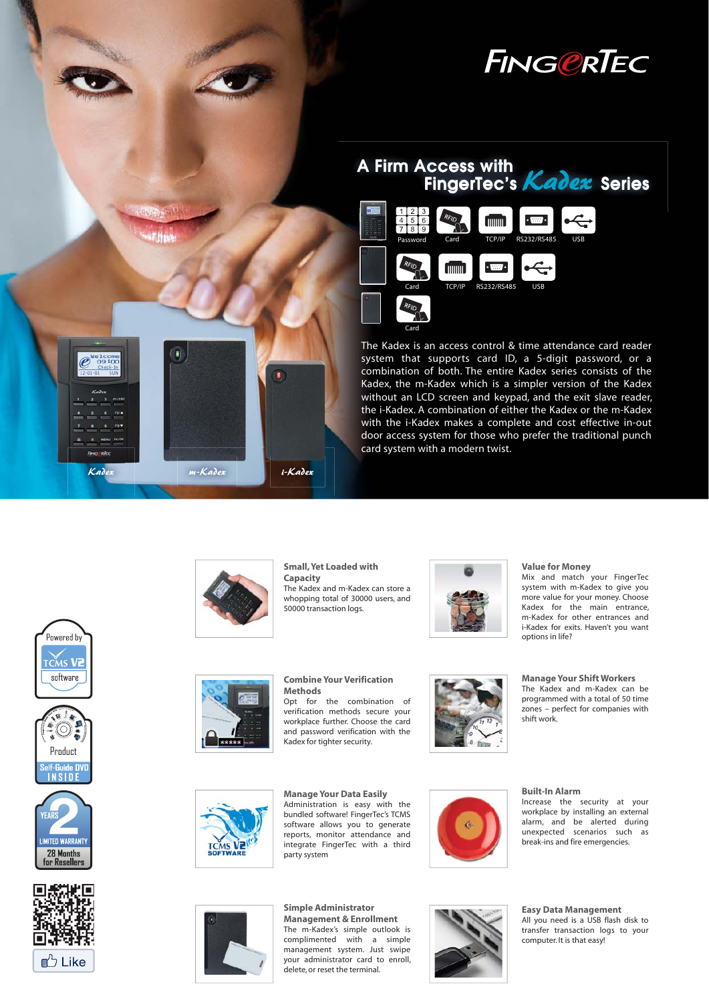





The Kadex is an access control & time attendance card reader system that supports card ID, a 5-digit password, or a combination of both. The entire Kadex series consists of the Kadex, the m-Kadex which is a simpler version of the Kadex without an LCD screen and keypad, and the exit slave reader, the i-Kadex. A combination of either the Kadex or the m-Kadex with the i-Kadex makes a complete and cost effective in-out door access system for those who prefer the traditional punch card system with a modern twist.











**Small, Yet Loaded with Capacity**

The Kadex and m-Kadex can store a whopping total of 30000 users, and 50000 transaction logs.



#### **Value for Money**

Mix and match your FingerTec system with m-Kadex to give you more value for your money. Choose Kadex for the main entrance, m-Kadex for other entrances and i-Kadex for exits. Haven't you want options in life?



**Combine Your Verification Methods**

**Simple Administrator Management & Enrollment** The m-Kadex's simple outlook is complimented with a simple management system. Just swipe your administrator card to enroll, delete, or reset the terminal.

Opt for the combination of verification methods secure your workplace further. Choose the card and password verification with the Kadex for tighter security.



**Manage Your Shift Workers** The Kadex and m-Kadex can be programmed with a total of 50 time zones – perfect for companies with

**Manage Your Data Easily** Administration is easy with the bundled software! FingerTec's TCMS software allows you to generate reports, monitor attendance and integrate FingerTec with a third party system



**Built-In Alarm**

shift work.

Increase the security at your workplace by installing an external alarm, and be alerted during unexpected scenarios such as break-ins and fire emergencies.